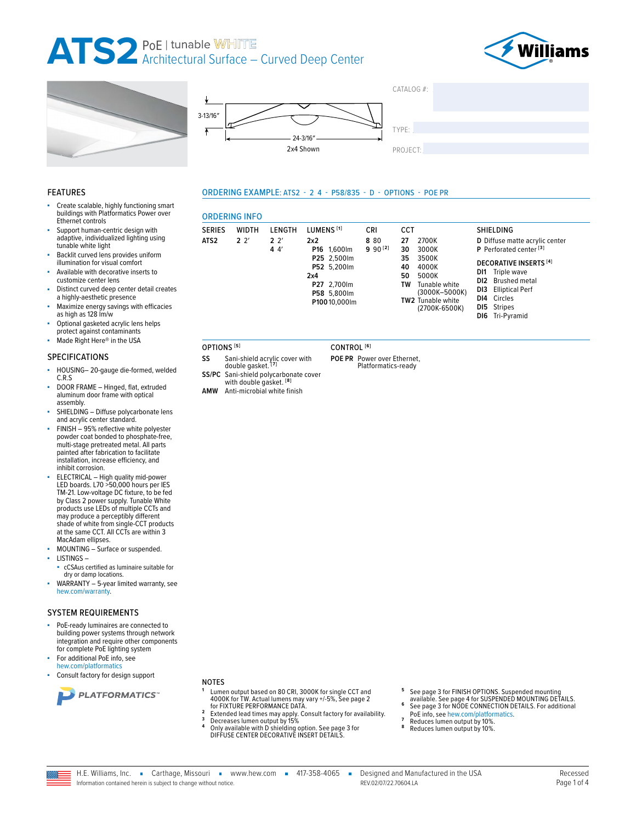**ORDERING INFO** 

**WIDTH** 

 $2^{2}$ 

**SERIES** 

OPTIONS<sup>[5]</sup>

SS

SS/PC

**AMW** 

ATS<sub>2</sub>







LENGTH

 $2<sup>2</sup>$ 

 $44'$ 

Sani-shield polycarbonate cover<br>with double gasket.<sup>[8]</sup>

Anti-microbial white finish



SHIELDING

D Diffuse matte acrylic center

P Perforated center<sup>[3]</sup>

DI1 Triple wave

DI2 Brushed metal

DI3 Elliptical Perf

DI6 Tri-Pyramid

DI4 Circles

DI5 Stripes

**DECORATIVE INSERTS [4]** 

#### **FEATURES**

- Create scalable, highly functioning smart buildings with Platformatics Power over Ethernet controls
- Support human-centric design with adaptive, individualized lighting using tunable white light
- Backlit curved lens provides uniform illumination for visual comfort
- Available with decorative inserts to customize center lens
- Distinct curved deep center detail creates a highly-aesthetic presence
- Maximize energy savings with efficacies as high as 128 lm/w
- Optional gasketed acrylic lens helps protect against contaminants

#### Made Right Here® in the USA

#### **SPECIFICATIONS**

- HOUSING-20-gauge die-formed, welded  $C.R.S$
- DOOR FRAME Hinged, flat, extruded aluminum door frame with optical assembly.
- SHIELDING Diffuse polycarbonate lens and acrylic center standard.
- FINISH 95% reflective white polyester powder coat bonded to phosphate-free. multi-stage pretreated metal. All parts painted after fabrication to facilitate installation, increase efficiency, and inhibit corrosion.
- ELECTRICAL High quality mid-power<br>LED boards. L70 >50,000 hours per IES TM-21. Low-voltage DC fixture, to be fed by Class 2 power supply. Tunable White<br>products use LEDs of multiple CCTs and may produce a perceptibly different<br>shade of white from single-CCT products at the same CCT. All CCTs are within 3 MacAdam ellipses.
- MOUNTING Surface or suspended.
- **LISTINGS**
	- cCSAus certified as luminaire suitable for dry or damp locations.
- WARRANTY 5-year limited warranty, see hew.com/warranty.

#### **SYSTEM REQUIREMENTS**

- PoE-ready luminaires are connected to building power systems through network integration and require other components for complete PoE lighting system
- For additional PoE info, see hew.com/platformatics
- Consult factory for design support



#### **NOTES**

- Lumen output based on 80 CRI, 3000K for single CCT and 4000K for TW. Actual lumens may vary +/-5%, See page 2<br>for FIXTURE PERFORMANCE DATA.
- $\overline{2}$ Extended lead times may apply. Consult factory for availability.<br>Decreases lumen output by 15%<br>Only available with D shielding option. See page 3 for  $\overline{\mathbf{3}}$
- DIFFUSE CENTER DECORATIVE INSERT DETAILS
- See page 3 for FINISH OPTIONS. Suspended mounting<br>available. See page 4 for SUSPENDED MOUNTING DETAILS.<br>See page 3 for NODE CONNECTION DETAILS. For additional
- 6
- PoE info, see hew.com/platformatics.
	- Reduces lumen output by 10%.
	- Reduces lumen output by 10%.



Sani-shield acrylic cover with<br>double gasket. [7]

ORDERING EXAMPLE: ATS2 - 2 4 - P58/835 - D - OPTIONS - POE PR

LUMENS<sup>[1]</sup>

P16 1,600lm

P25 2,500lm

P52 5.200lm

P27 2,700lm

P58 5,800lm

P10010,000lm

 $2x2$ 

 $2x4$ 



CRI

8 80

 $990^{[2]}$ 

CCT

2700K

3000K

3500K

4000K

5000K

TW2 Tunable white

Tunable white<br>(3000K-5000K)

(2700K-6500K)

27

30

35

40

50

TW

POE PR Power over Ethernet, Platformatics-ready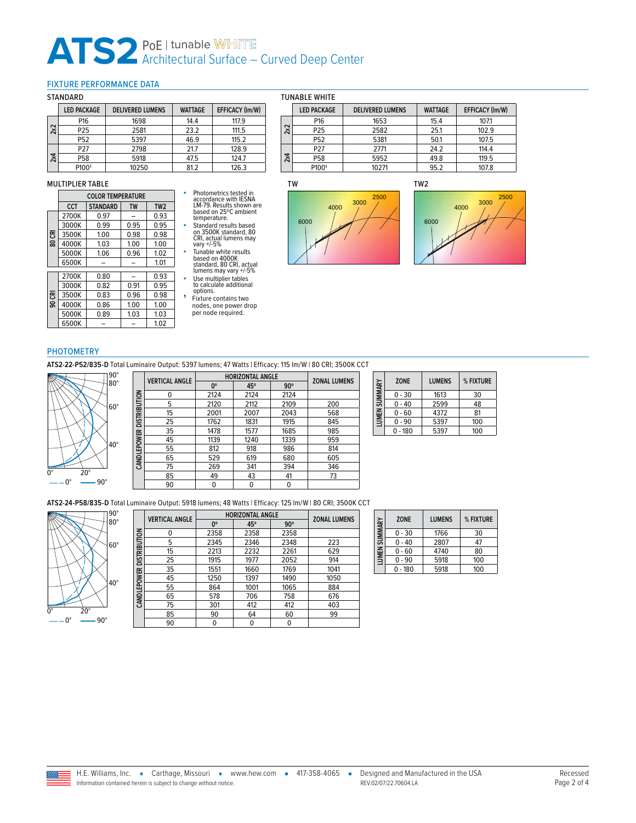#### <span id="page-1-0"></span>FIXTURE PERFORMANCE DATA

#### STANDARD

|     | <b>LED PACKAGE</b> | <b>DELIVERED LUMENS</b> | <b>WATTAGE</b> | EFFICACY (Im/W) |
|-----|--------------------|-------------------------|----------------|-----------------|
|     | P <sub>16</sub>    | 1698                    | 14.4           | 117.9           |
| 2x2 | P <sub>25</sub>    | 2581                    | 23.2           | 111.5           |
|     | P52                | 5397                    | 46.9           | 115.2           |
|     | P27                | 2798                    | 21.7           | 128.9           |
| 2x4 | P <sub>58</sub>    | 5918                    | 47.5           | 124.7           |
|     | P1001              | 10250                   | 81.2           | 126.3           |

#### MULTIPLIER TABLE

**80 CRI**

**90 CRI**

| <b>COLOR TEMPERATURE</b> |                 |           |                 |  |  |
|--------------------------|-----------------|-----------|-----------------|--|--|
| CCT                      | <b>STANDARD</b> | <b>TW</b> | TW <sub>2</sub> |  |  |
| 2700K                    | 0.97            |           | 0.93            |  |  |
| 3000K                    | 0.99            | 0.95      | 0.95            |  |  |
| 3500K                    | 1.00            | 0.98      | 0.98            |  |  |
| 4000K                    | 1.03            | 1.00      | 1.00            |  |  |
| 5000K                    | 1.06            | 0.96      | 1.02            |  |  |
| 6500K                    |                 |           | 1.01            |  |  |
| 2700K                    | 0.80            |           | 0.93            |  |  |
| 3000K                    | 0.82            | 0.91      | 0.95            |  |  |
| 3500K                    | 0.83            | 0.96      | 0.98            |  |  |
| 4000K                    | 0.86            | 1.00      | 1.00            |  |  |
| 5000K                    | 0.89            | 1.03      | 1.03            |  |  |
| 6500K                    |                 |           | 1.02            |  |  |

- Photometrics tested in accordance with IESNA LM-79. Results shown are based on 25ºC ambient temperature.<br>■ Standard results based<br>on 3500K standard, 80<br>CRI, actual lumens may<br>vary +/-5%
- Tunable white results<br>
based on 4000K<br>
standard, 80 CRI, actual<br>
lumens may vary +/-5%<br>
 Use multiplier tables<br>
to calculate additional
- 
- options.<br>**1** Fixture contains two<br>nodes, one power drop<br>per node required.

|  |  |  | TUNABLE WHITE |  |
|--|--|--|---------------|--|
|--|--|--|---------------|--|

|     | <b>LED PACKAGE</b> | <b>DELIVERED LUMENS</b> | <b>WATTAGE</b> | EFFICACY (Im/W) |
|-----|--------------------|-------------------------|----------------|-----------------|
|     | P <sub>16</sub>    | 1653                    | 15.4           | 107.1           |
| 2x2 | P25                | 2582                    | 25.1           | 102.9           |
|     | P52                | 5381                    | 50.1           | 107.5           |
|     | P <sub>27</sub>    | 2771                    | 24.2           | 114.4           |
| 2x4 | P58                | 5952                    | 49.8           | 119.5           |
|     | P1001              | 10271                   | 95.2           | 107.8           |

#### TW





#### **PHOTOMETRY**

**ATS2-22-P52/835-D** Total Luminaire Output: 5397 lumens; 47 Watts | Efficacy: 115 lm/W | 80 CRI; 3500K CCT



|                     | <b>VERTICAL ANGLE</b> |             | <b>HORIZONTAL ANGLE</b> |            |                     |
|---------------------|-----------------------|-------------|-------------------------|------------|---------------------|
|                     |                       | $0^{\circ}$ | 45°                     | $90^\circ$ | <b>ZONAL LUMENS</b> |
|                     | 0                     | 2124        | 2124                    | 2124       |                     |
| <b>DISTRIBUTION</b> | 5                     | 2120        | 2112                    | 2109       | 200                 |
|                     | 15                    | 2001        | 2007                    | 2043       | 568                 |
|                     | 25                    | 1762        | 1831                    | 1915       | 845                 |
|                     | 35                    | 1478        | 1577                    | 1685       | 985                 |
|                     | 45                    | 1139        | 1240                    | 1339       | 959                 |
| CANDLEPOWER         | 55                    | 812         | 918                     | 986        | 814                 |
|                     | 65                    | 529         | 619                     | 680        | 605                 |
|                     | 75                    | 269         | 341                     | 394        | 346                 |
|                     | 85                    | 49          | 43                      | 41         | 73                  |
|                     | 90                    | 0           | 0                       | 0          |                     |

| LUMEN SUMMARY | <b>ZONE</b> | <b>LUMENS</b> | % FIXTURE |
|---------------|-------------|---------------|-----------|
|               | $0 - 30$    | 1613          | 30        |
|               | $0 - 40$    | 2599          | 48        |
|               | $0 - 60$    | 4372          | 81        |
|               | $0 - 90$    | 5397          | 100       |
|               | $-180$      | 5397          | 100       |

**ATS2-24-P58/835-D** Total Luminaire Output: 5918 lumens; 48 Watts | Efficacy: 125 lm/W | 80 CRI; 3500K CCT



|                          | <b>VERTICAL ANGLE</b> |             | <b>HORIZONTAL ANGLE</b> |            |                     |  |  |
|--------------------------|-----------------------|-------------|-------------------------|------------|---------------------|--|--|
|                          |                       | $0^{\circ}$ | 45°                     | $90^\circ$ | <b>ZONAL LUMENS</b> |  |  |
| CANDLEPOWER DISTRIBUTION | 0                     | 2358        | 2358                    | 2358       |                     |  |  |
|                          | 5                     | 2345        | 2346                    | 2348       | 223                 |  |  |
|                          | 15                    | 2213        | 2232                    | 2261       | 629                 |  |  |
|                          | 25                    | 1915        | 1977                    | 2052       | 914                 |  |  |
|                          | 35                    | 1551        | 1660                    | 1769       | 1041                |  |  |
|                          | 45                    | 1250        | 1397                    | 1490       | 1050                |  |  |
|                          | 55                    | 864         | 1001                    | 1065       | 884                 |  |  |
|                          | 65                    | 578         | 706                     | 758        | 676                 |  |  |
|                          | 75                    | 301         | 412                     | 412        | 403                 |  |  |
|                          | 85                    | 90          | 64                      | 60         | 99                  |  |  |
|                          | 90                    | 0           | 0                       | 0          |                     |  |  |
|                          |                       |             |                         |            |                     |  |  |

| LUMEN SUMMARY | <b>ZONE</b> | <b>LUMENS</b> | % FIXTURE |
|---------------|-------------|---------------|-----------|
|               | $0 - 30$    | 1766          | 30        |
|               | $0 - 40$    | 2807          | 47        |
|               | $0 - 60$    | 4740          | 80        |
|               | $0 - 90$    | 5918          | 100       |
|               | $0 - 180$   | 5918          | 100       |

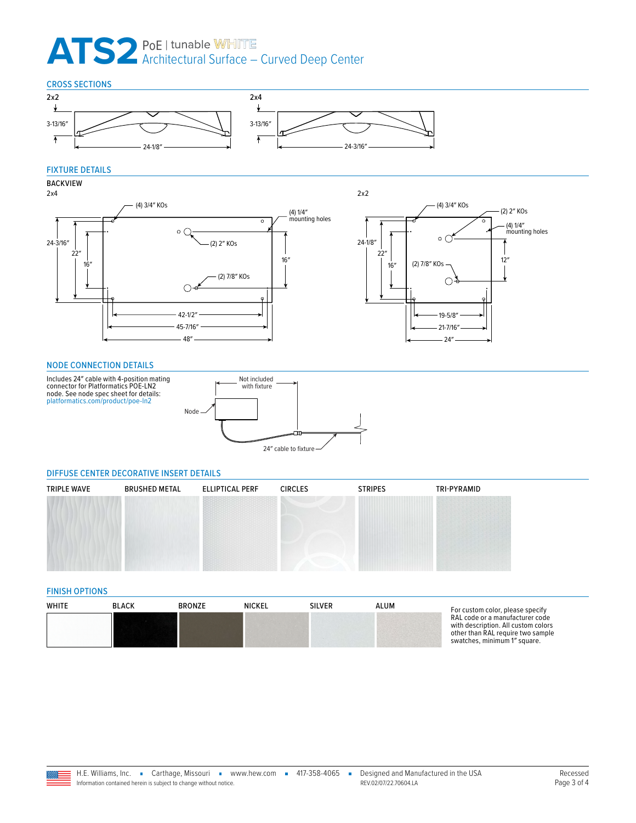

### FIXTURE DETAILS



#### <span id="page-2-2"></span>NODE CONNECTION DETAILS



#### <span id="page-2-0"></span>DIFFUSE CENTER DECORATIVE INSERT DETAILS

| <b>TRIPLE WAVE</b> | <b>BRUSHED METAL</b> | <b>ELLIPTICAL PERF</b> | <b>CIRCLES</b> | <b>STRIPES</b> | TRI-PYRAMID |
|--------------------|----------------------|------------------------|----------------|----------------|-------------|
|                    |                      |                        |                |                |             |
|                    |                      |                        |                |                |             |
|                    |                      |                        |                |                |             |

#### <span id="page-2-1"></span>FINISH OPTIONS

| WHITE | <b>BLACK</b> | <b>BRONZE</b> | <b>NICKEL</b> | <b>SILVER</b> | ALUM | For custom color, please specify                                                                                                            |
|-------|--------------|---------------|---------------|---------------|------|---------------------------------------------------------------------------------------------------------------------------------------------|
|       |              |               |               |               |      | RAL code or a manufacturer code<br>with description. All custom colors<br>other than RAL require two sample<br>swatches, minimum 1" square. |